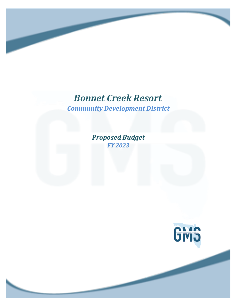# *Bonnet Creek Resort*

*Community Development District*

*Proposed Budget FY 2023*

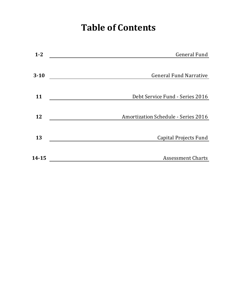# **Table of Contents**

| $1 - 2$   | General Fund                               |
|-----------|--------------------------------------------|
|           |                                            |
| $3 - 10$  | <b>General Fund Narrative</b>              |
| 11        | Debt Service Fund - Series 2016            |
| 12        | <b>Amortization Schedule - Series 2016</b> |
|           |                                            |
| 13        | Capital Projects Fund                      |
| $14 - 15$ | <b>Assessment Charts</b>                   |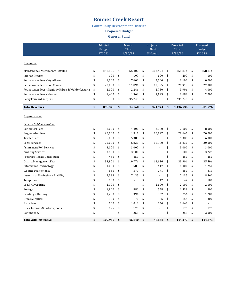### **Bonnet Creek Resort**

**Community Development District** 

**Proposed Budget** 

**General Fund** 

|                                                       |              | Adopted<br><b>Budget</b><br>FY2022 | Actuals<br>Thru<br>4/30/22 | Projected<br><b>Next</b><br>5 Months | Projected<br>Thru<br>9/30/22 | Proposed<br><b>Budget</b><br>FY2023 |
|-------------------------------------------------------|--------------|------------------------------------|----------------------------|--------------------------------------|------------------------------|-------------------------------------|
| <b>Revenues</b>                                       |              |                                    |                            |                                      |                              |                                     |
| Maintenance Assessments - Off Roll                    | \$           | 858,876                            | \$<br>555,402              | \$<br>303,474                        | \$<br>858,876                | \$<br>858,876                       |
| Interest Income                                       | \$           | 100                                | \$<br>107                  | \$<br>100                            | \$<br>207                    | \$<br>100                           |
| Reuse Water Fees - Wyndham                            | \$           | 8,000                              | \$<br>7,600                | \$<br>5,500                          | \$<br>13,100                 | \$<br>10,000                        |
| Reuse Water Fees - Golf Course                        | \$           | 27,000                             | \$<br>11,894               | \$<br>10,025                         | \$<br>21,919                 | \$<br>27,000                        |
| Reuse Water Fees - Signia by Hilton & Waldorf Astoria | \$           | 4,000                              | \$<br>2,246                | \$<br>1,750                          | \$<br>3,996                  | \$<br>4,000                         |
| Reuse Water Fees - Marriott                           | \$           | 1,400                              | \$<br>1,563                | \$<br>1,125                          | \$<br>2,688                  | \$<br>2,000                         |
| Carry Forward Surplus                                 | \$           | 0                                  | \$<br>235,748              | \$                                   | \$<br>235,748                | \$                                  |
| <b>Total Revenues</b>                                 | $\mathbf{s}$ | 899,376                            | \$<br>814,560              | \$<br>321,974                        | \$<br>1,136,534              | \$<br>901,976                       |
| <b>Expenditures</b>                                   |              |                                    |                            |                                      |                              |                                     |
| General & Administrative                              |              |                                    |                            |                                      |                              |                                     |
| Supervisor Fees                                       | \$           | 8.000                              | \$<br>4,400                | \$<br>3,200                          | \$<br>7.600                  | \$<br>8.000                         |
| <b>Engineering Fees</b>                               | \$           | 20,000                             | \$<br>11,917               | \$<br>16,727                         | \$<br>28,645                 | \$<br>20,000                        |
| <b>Trustee Fees</b>                                   | \$           | 6,000                              | \$<br>5,388                | \$                                   | \$<br>5,388                  | \$<br>6,000                         |
| Legal Services                                        | \$           | 20,000                             | \$<br>6,830                | \$<br>10,000                         | \$<br>16,830                 | \$<br>20,000                        |
| Assessment Roll Services                              | \$           | 3,000                              | \$<br>3,000                | \$                                   | \$<br>3,000                  | \$<br>3,000                         |
| <b>Auditing Services</b>                              | \$           | 3,100                              | \$<br>3,100                | \$<br>÷,                             | \$<br>3,100                  | \$<br>3,225                         |
| Arbitrage Rebate Calculation                          | \$           | 450                                | \$<br>450                  | \$<br>L.                             | \$<br>450                    | \$<br>450                           |
| District Management Fees                              | \$           | 33,901                             | \$<br>19,776               | \$<br>14,126                         | \$<br>33,901                 | \$<br>35,596                        |
| <b>Information Technology</b>                         | \$           | 1,000                              | \$<br>583                  | \$<br>417                            | \$<br>1,000                  | \$<br>1,250                         |
| Website Maintenance                                   | \$           | 650                                | \$<br>379                  | \$<br>271                            | \$<br>650                    | \$<br>813                           |
| Insurance - Professional Liability                    | \$           | 7,584                              | \$<br>7,135                | \$<br>$\overline{a}$                 | \$<br>7,135                  | \$<br>8,562                         |
| Telephone                                             | \$           | 100                                | \$                         | \$<br>42                             | \$<br>42                     | \$<br>100                           |
| Legal Advertising                                     | \$           | 2,100                              | \$<br>ä,                   | \$<br>2,100                          | \$<br>2,100                  | \$<br>2,100                         |
| Postage                                               | \$           | 1,900                              | \$<br>980                  | \$<br>558                            | \$<br>1,538                  | \$<br>1,900                         |
| Printing & Binding                                    | \$           | 1,200                              | \$<br>394                  | \$<br>362                            | \$<br>756                    | \$<br>1,200                         |
| Office Supplies                                       | \$           | 300                                | \$<br>70                   | \$<br>86                             | \$<br>155                    | \$<br>300                           |
| Bank Fees                                             | \$           | 500                                | \$<br>1,010                | \$<br>650                            | \$<br>1,660                  | \$                                  |
| Dues, Licenses & Subscriptions                        | \$           | 175                                | \$<br>175                  | \$                                   | \$<br>175                    | \$<br>175                           |
| Contingency                                           | \$           |                                    | \$<br>253                  | \$                                   | \$<br>253                    | \$<br>2,000                         |
| <b>Total Administrative:</b>                          | \$           | 109.960                            | \$<br>65.840               | \$<br>48.538                         | \$<br>114.377                | \$<br>114.671                       |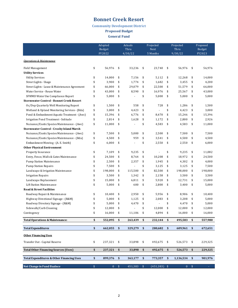### **Bonnet Creek Resort**

#### **Community Development District**

**Proposed Budget** 

**General Fund** 

|                                                                                         |               | Adopted<br>Budget |              | Actuals<br>Thru |          | Projected<br><b>Next</b> | Projected<br>Thru |              | Proposed<br><b>Budget</b> |
|-----------------------------------------------------------------------------------------|---------------|-------------------|--------------|-----------------|----------|--------------------------|-------------------|--------------|---------------------------|
|                                                                                         |               | FY2022            |              | 4/30/22         |          | 5 Months                 | 9/30/22           |              | FY2023                    |
| <b>Operations &amp; Maintenance</b>                                                     |               |                   |              |                 |          |                          |                   |              |                           |
| Field Management                                                                        | \$            | 56,976            | \$           | 33,236          | \$       | 23.740                   | \$<br>56,976      | \$           | 56,976                    |
| <b>Utility Services</b>                                                                 |               |                   |              |                 |          |                          |                   |              |                           |
| <b>Utility Services</b>                                                                 | \$            | 14,000            | \$           | 7,156           | \$       | 5,112                    | \$<br>12,268      | \$           | 14,000                    |
| Street Lights - Usage                                                                   | \$            | 3,900             | \$           | 1,774           | \$       | 1,682                    | \$<br>3,455       | \$           | 4,200                     |
| Street Lights - Lease & Maintenance Agreement                                           | \$            | 66,000            | \$           | 29,079          | \$       | 22,500                   | \$<br>51,579      | \$           | 66,000                    |
| Water Service - Reuse Water                                                             | \$            | 43,000            | \$           | 8,590           | \$       | 16,976                   | \$<br>25,567      | \$           | 43,000                    |
| SFWMD Water Use Compliance Report                                                       | \$            | 5,000             | \$           |                 | \$       | 5,000                    | \$<br>5,000       | \$           | 5,000                     |
| <b>Stormwater Control - Bonnet Creek Resort</b>                                         |               |                   |              |                 |          |                          |                   |              |                           |
| Oc/Dep Quarterly Well Monitoring Report                                                 | \$            | 1,500             | \$           | 558             | \$       | 728                      | \$<br>1,286       | \$           | 1,500                     |
| Wetland & Upland Monitoring Services - (Bda)                                            | \$            | 3,000             | \$           | 4,423           | \$       |                          | \$<br>4,423       | \$           | 3,000                     |
| Pond & Embankment Aquatic Treatment - (Awc)                                             | \$            | 15,396            | \$           | 6,776           | \$       | 8,470                    | \$<br>15,246      | \$           | 15,396                    |
| Irrigation Pond Treatment - Solitude                                                    | \$            | 2,814             | \$           | 1,628           | \$<br>\$ | 1,172                    | \$<br>2,800       | \$           | 2,926                     |
| Nuisance/Exotic Species Maintenance - (Awc)<br>Stormwater Control - Crosby Island Marsh | \$            | 11,000            | \$           |                 |          | 4,583                    | \$<br>4,583       | \$           | 11,000                    |
| Nuisance/Exotic Species Maintenance - (Awc)                                             | \$            | 7,500             | \$           | 5,000           | \$       | 2,500                    | \$<br>7,500       | \$           | 7,500                     |
| Nuisance/Exotic Species Maintenance - (Bda)                                             | \$            | 4,500             | \$           | 959             | \$       | 3,541                    | \$<br>4,500       | \$           | 4,500                     |
| Embankment Mowing - (A. E. Smith)                                                       | \$            | 6,000             | \$           | ä,              | \$       | 2,550                    | \$<br>2,550       | \$           | 6,000                     |
| <b>Other Physical Environment</b>                                                       |               |                   |              |                 |          |                          |                   |              |                           |
| Property Insurance                                                                      | \$            | 7,109             | \$           | 9,235           | \$       |                          | \$<br>9,235       | \$           | 11,082                    |
| Entry, Fence, Walls & Gates Maintenance                                                 | \$            | 24,500            | \$           | 8,764           | \$       | 10,208                   | \$<br>18,972      | \$           | 24,500                    |
| <b>Pump Station Maintenance</b>                                                         | \$            | 2,500             | \$           | 2,357           | \$       | 1,945                    | \$<br>4,302       | \$           | 4,000                     |
| <b>Pump Station Repairs</b>                                                             | \$            | 7,500             | \$           | ÷,              | \$       | 3,125                    | \$<br>3,125       | \$           | 7,500                     |
| Landscape & Irrigation Maintenance                                                      | \$            | 198,000           | \$           | 115,500         | \$       | 82,500                   | \$<br>198,000     | \$           | 198,000                   |
| <b>Irrigation Repairs</b>                                                               | \$            | 3,500             | \$           | 1,342           | \$       | 2,158                    | \$<br>3,500       | \$           | 3,500                     |
| Landscape Replacement                                                                   | \$            | 15,000            | \$           | 6,811           | \$       | 5,920                    | \$<br>12,731      | \$           | 15,000                    |
| Lift Station Maintenance                                                                | \$            | 5,000             | \$           | 600             | \$       | 2,800                    | \$<br>3,400       | \$           | 5,000                     |
| <b>Road &amp; Street Facilities</b>                                                     |               |                   |              |                 |          |                          |                   |              |                           |
| Roadway Repair & Maintenance                                                            | \$            | 10,400            | \$           | 2,950           | \$       | 5,956                    | \$<br>8,906       | \$           | 10,400                    |
| Highway Directional Signage - (R&M)                                                     | \$            | 5,000             | \$           | 1,125           | \$       | 2,083                    | \$<br>3,208       | \$           | 5,000                     |
| Roadway Directory Signage - (R&M)                                                       | \$            | 5,000             | \$           | 4,470           | \$       |                          | \$<br>4,470       | \$           | 5,000                     |
| Sidewalk/Curb Cleaning                                                                  | \$            | 12,000            | \$           |                 | \$       | 12,000                   | \$<br>12,000      | \$           | 12,000                    |
| Contingency                                                                             | \$            | 16,000            | \$           | 11,106          | \$       | 4,894                    | \$<br>16,000      | \$           | 16,000                    |
| <b>Total Operations &amp; Maintenance:</b>                                              | \$            | 552,095           | \$           | 263,439         | \$       | 232,144                  | \$<br>495,583     | \$           | 557,980                   |
| <b>Total Expenditures</b>                                                               | $\mathsf{\$}$ | 662,055           | \$           | 329,279         | \$       | 280,682                  | \$<br>609,961     | \$           | 672,651                   |
| <b>Other Financing Uses</b>                                                             |               |                   |              |                 |          |                          |                   |              |                           |
| Transfer Out - Capital Reserve                                                          | \$            | 237,321           | \$           | 33,898          | \$       | 492,675                  | \$<br>526,573     | \$           | 229,325                   |
| <b>Total Other Financing Sources (Uses)</b>                                             | \$            | 237,321           | \$           | 33,898          | \$       | 492,675                  | \$<br>526,573     | \$           | 229,325                   |
| <b>Total Expenditures &amp; Other Financing Uses</b>                                    | \$            | 899,376           | \$           | 363,177         | \$       | 773,357                  | \$<br>1,136,534   | \$           | 901,976                   |
| Net Change in Fund Baalnce                                                              | $\,$          |                   | $0 \quad$ \$ | 451,383         | \$       | $(451, 383)$ \$          |                   | $0 \quad$ \$ |                           |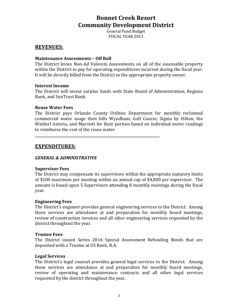General Fund Budget FISCAL YEAR 2023

#### **REVENUES:**

#### **Maintenance Assessments - Off Roll**

The District levies Non-Ad Valorem Assessments on all of the assessable property within the District to pay for operating expenditures incurred during the fiscal year. It will be directly billed from the District to the appropriate property owner.

#### **Interest Income**

The District will invest surplus funds with State Board of Administration, Regions Bank, and SunTrust Bank.

#### **Reuse Water Fees**

The District pays Orlando County Utilities Department for monthly reclaimed commercial water usage then bills Wyndham, Golf Course, Signia by Hilton, the Waldorf Astoria, and Marriott for their portion based on individual meter readings to reimburse the cost of the reuse water.

**\_\_\_\_\_\_\_\_\_\_\_\_\_\_\_\_\_\_\_\_\_\_\_\_\_\_\_\_\_\_\_\_\_\_\_\_\_\_\_\_\_\_\_\_\_\_\_\_\_\_\_\_\_\_\_\_\_\_\_\_\_\_\_\_\_\_\_\_\_\_\_\_** 

# **EXPENDITURES:**

#### *GENERAL & ADMINISTRATIVE*

#### **Supervisor Fees**

The District may compensate its supervisors within the appropriate statutory limits of \$200 maximum per meeting within an annual cap of \$4,800 per supervisor. The amount is based upon 5 Supervisors attending 8 monthly meetings during the fiscal year. 

#### **Engineering Fees**

The District's engineer provides general engineering services to the District. Among these services are attendance at and preparation for monthly board meetings, review of construction invoices and all other engineering services requested by the district throughout the year.

#### **Trustee Fees**

The District issued Series 2016 Special Assessment Refunding Bonds that are deposited with a Trustee at US Bank, N.A.

#### **Legal Services**

The District's legal counsel provides general legal services to the District. Among these services are attendance at and preparation for monthly board meetings, review of operating and maintenance contracts and all other legal services requested by the district throughout the year.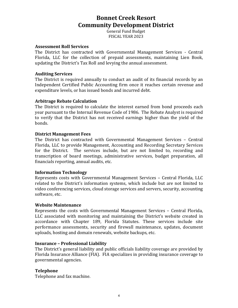General Fund Budget FISCAL YEAR 2023

#### **Assessment Roll Services**

The District has contracted with Governmental Management Services - Central Florida, LLC for the collection of prepaid assessments, maintaining Lien Book, updating the District's Tax Roll and levying the annual assessment.

#### **Auditing Services**

The District is required annually to conduct an audit of its financial records by an Independent Certified Public Accounting firm once it reaches certain revenue and expenditure levels, or has issued bonds and incurred debt.

#### **Arbitrage Rebate Calculation**

The District is required to calculate the interest earned from bond proceeds each year pursuant to the Internal Revenue Code of 1986. The Rebate Analyst is required to verify that the District has not received earnings higher than the yield of the bonds. 

#### **District Management Fees**

The District has contracted with Governmental Management Services - Central Florida, LLC to provide Management, Accounting and Recording Secretary Services for the District. The services include, but are not limited to, recording and transcription of board meetings, administrative services, budget preparation, all financials reporting, annual audits, etc.

#### **Information Technology**

Represents costs with Governmental Management Services - Central Florida, LLC related to the District's information systems, which include but are not limited to video conferencing services, cloud storage services and servers, security, accounting software, etc.

#### **Website Maintenance**

Represents the costs with Governmental Management Services – Central Florida, LLC associated with monitoring and maintaining the District's website created in accordance with Chapter 189, Florida Statutes. These services include site performance assessments, security and firewall maintenance, updates, document uploads, hosting and domain renewals, website backups, etc.

#### **Insurance - Professional Liability**

The District's general liability and public officials liability coverage are provided by Florida Insurance Alliance (FIA). FIA specializes in providing insurance coverage to governmental agencies. 

#### **Telephone**

Telephone and fax machine.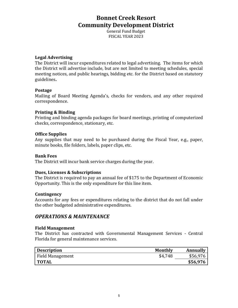General Fund Budget FISCAL YEAR 2023

#### Legal **Advertising**

The District will incur expenditures related to legal advertising. The items for which the District will advertise include, but are not limited to meeting schedules, special meeting notices, and public hearings, bidding etc. for the District based on statutory guidelines**.** 

#### **Postage**

Mailing of Board Meeting Agenda's, checks for vendors, and any other required correspondence. 

#### **Printing & Binding**

Printing and binding agenda packages for board meetings, printing of computerized checks, correspondence, stationary, etc.

#### **Office Supplies**

Any supplies that may need to be purchased during the Fiscal Year, e.g., paper, minute books, file folders, labels, paper clips, etc.

#### **Bank Fees**

The District will incur bank service charges during the year.

#### **Dues, Licenses & Subscriptions**

The District is required to pay an annual fee of \$175 to the Department of Economic Opportunity. This is the only expenditure for this line item.

#### **Contingency**

Accounts for any fees or expenditures relating to the district that do not fall under the other budgeted administrative expenditures.

### *OPERATIONS & MAINTENANCE*

#### **Field Management**

The District has contracted with Governmental Management Services - Central Florida for general maintenance services.

| <b>Description</b> | <b>Monthly</b> | <b>Annually</b> |
|--------------------|----------------|-----------------|
| Field Management   | \$4,748        | \$56,976        |
| <b>TOTAL</b>       |                | \$56,976        |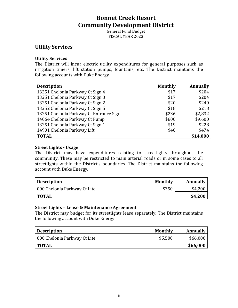General Fund Budget FISCAL YEAR 2023

### **Utility Services**

#### **Utility Services**

The District will incur electric utility expenditures for general purposes such as irrigation timers, lift station pumps, fountains, etc. The District maintains the following accounts with Duke Energy.

| <b>Description</b>                      | <b>Monthly</b> | <b>Annually</b> |
|-----------------------------------------|----------------|-----------------|
| 13251 Chelonia Parkway Ct Sign 4        | \$17           | \$204           |
| 13251 Chelonia Parkway Ct Sign 3        | \$17           | \$204           |
| 13251 Chelonia Parkway Ct Sign 2        | \$20           | \$240           |
| 13252 Chelonia Parkway Ct Sign 5        | \$18           | \$218           |
| 13251 Chelonia Parkway Ct Entrance Sign | \$236          | \$2,832         |
| 14064 Chelonia Parkway Ct Pump          | \$800          | \$9,600         |
| 13251 Chelonia Parkway Ct Sign 1        | \$19           | \$228           |
| 14901 Chelonia Parkway Lift             | \$40           | \$474           |
| <b>TOTAL</b>                            |                | \$14,000        |

#### **Street Lights - Usage**

The District may have expenditures relating to streetlights throughout the community. These may be restricted to main arterial roads or in some cases to all streetlights within the District's boundaries. The District maintains the following account with Duke Energy.

| <b>Description</b>           | Monthly | Annually |
|------------------------------|---------|----------|
| 000 Chelonia Parkway Ct Lite | \$350   | \$4,200  |
| <b>TOTAL</b>                 |         | \$4,200  |

#### **Street Lights - Lease & Maintenance Agreement**

The District may budget for its streetlights lease separately. The District maintains the following account with Duke Energy.

| <b>Description</b>           | <b>Monthly</b> | Annually |
|------------------------------|----------------|----------|
| 000 Chelonia Parkway Ct Lite | \$5,500        | \$66,000 |
| <b>TOTAL</b>                 |                | \$66,000 |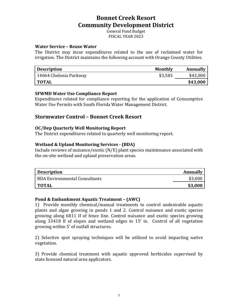General Fund Budget FISCAL YEAR 2023

#### **Water Service - Reuse Water**

The District may incur expenditures related to the use of reclaimed water for irrigation. The District maintains the following account with Orange County Utilities.

| <b>Description</b>     | Monthly | <b>Annually</b> |
|------------------------|---------|-----------------|
| 14064 Chelonia Parkway | \$3,583 | \$43,000        |
| <b>TOTAL</b>           |         | \$43,000        |

#### **SFWMD Water Use Compliance Report**

Expenditures related for compliance reporting for the application of Consumptive Water Use Permits with South Florida Water Management District.

#### **Stormwater Control - Bonnet Creek Resort**

#### **OC/Dep Quarterly Well Monitoring Report**

The District expenditures related to quarterly well monitoring report.

#### **Wetland & Upland Monitoring Services - (BDA)**

Include reviews of nuisance/exotic  $(N/E)$  plant species maintenance associated with the on-site wetland and upland preservation areas.

| <b>Description</b>                   | Annually |
|--------------------------------------|----------|
| <b>BDA Environmental Consultants</b> | \$3,000  |
| <b>TOTAL</b>                         | \$3,000  |

#### **Pond & Embankment Aquatic Treatment – (AWC)**

1) Provide monthly chemical/manual treatments to control undesirable aquatic plants and algae growing in ponds 1 and 2. Control nuisance and exotic species growing along 6811 If of fence line. Control nuisance and exotic species growing along 33418 If of slopes and wetland edges to 15' in. Control of all vegetation growing within 5' of outfall structures.

2) Selective spot spraying techniques will be utilized to avoid impacting native vegetation.

3) Provide chemical treatment with aquatic approved herbicides supervised by state licensed natural area applicators.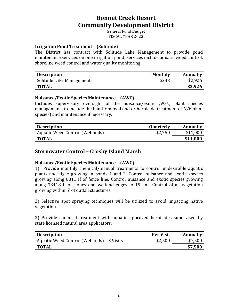General Fund Budget FISCAL YEAR 2023

#### **Irrigation Pond Treatment - (Solitude)**

The District has contract with Solitude Lake Management to provide pond maintenance services on one irrigation pond. Services include aquatic weed control, shoreline weed control and water quality monitoring.

| <b>Description</b>       | <b>Monthly</b> | Annually |
|--------------------------|----------------|----------|
| Solitude Lake Management | \$243          | \$2,926  |
| <b>TOTAL</b>             |                | \$2,926  |

#### **Nuisance/Exotic Species Maintenance - (AWC)**

Includes supervisory oversight of the nuisance/exotic *(N/E)* plant species management (to include the hand-removal and or herbicide treatment of *N/E* plant species) and maintenance if necessary.

| <b>Description</b>              | Quarterly | <b>Annually</b> |
|---------------------------------|-----------|-----------------|
| Aquatic Weed Control (Wetlands) | \$2,750   | \$11,000        |
| <b>TOTAL</b>                    |           | \$11,000        |

### **Stormwater Control - Crosby Island Marsh**

#### **Nuisance/Exotic Species Maintenance - (AWC)**

1) Provide monthly chemical/manual treatments to control undesirable aquatic plants and algae growing in ponds 1 and 2. Control nuisance and exotic species growing along 6811 If of fence line. Control nuisance and exotic species growing along 33418 If of slopes and wetland edges to 15' in. Control of all vegetation growing within 5' of outfall structures.

2) Selective spot spraying techniques will be utilized to avoid impacting native vegetation.

3) Provide chemical treatment with aquatic approved herbicides supervised by state licensed natural area applicators.

| <b>Description</b>                         | <b>Per Visit</b> | Annually |
|--------------------------------------------|------------------|----------|
| Aquatic Weed Control (Wetlands) – 3 Visits | \$2,500          | \$7,500  |
| <b>TOTAL</b>                               |                  | \$7,500  |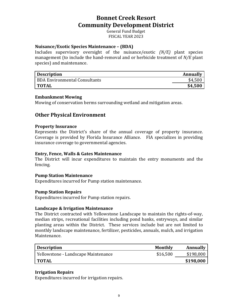General Fund Budget FISCAL YEAR 2023

#### **Nuisance/Exotic Species Maintenance - (BDA)**

Includes supervisory oversight of the nuisance/exotic *(N/E)* plant species management (to include the hand-removal and or herbicide treatment of *N/E* plant species) and maintenance.

| <b>Description</b>            | Annually |
|-------------------------------|----------|
| BDA Environmental Consultants | \$4,500  |
| <b>TOTAL</b>                  | \$4,500  |

#### **Embankment Mowing**

Mowing of conservation berms surrounding wetland and mitigation areas.

### **Other Physical Environment**

#### **Property Insurance**

Represents the District's share of the annual coverage of property insurance. Coverage is provided by Florida Insurance Alliance. FIA specializes in providing insurance coverage to governmental agencies.

#### **Entry, Fence, Walls & Gates Maintenance**

The District will incur expenditures to maintain the entry monuments and the fencing. 

#### **Pump Station Maintenance**

Expenditures incurred for Pump station maintenance.

#### **Pump Station Repairs**

Expenditures incurred for Pump station repairs.

#### **Landscape & Irrigation Maintenance**

The District contracted with Yellowstone Landscape to maintain the rights-of-way, median strips, recreational facilities including pond banks, entryways, and similar planting areas within the District. These services include but are not limited to monthly landscape maintenance, fertilizer, pesticides, annuals, mulch, and irrigation Maintenance. 

| <b>Description</b>                  | Monthly  | <b>Annually</b> |
|-------------------------------------|----------|-----------------|
| Yellowstone - Landscape Maintenance | \$16,500 | \$198,000       |
| <b>TOTAL</b>                        |          | \$198,000       |

#### **Irrigation Repairs**

Expenditures incurred for irrigation repairs.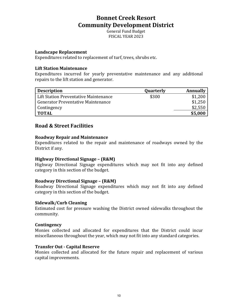General Fund Budget FISCAL YEAR 2023

#### Landscape Replacement

Expenditures related to replacement of turf, trees, shrubs etc.

#### **Lift Station Maintenance**

Expenditures incurred for yearly preventative maintenance and any additional repairs to the lift station and generator.

| <b>Description</b>                        | Quarterly | <b>Annually</b> |
|-------------------------------------------|-----------|-----------------|
| Lift Station Preventative Maintenance     | \$300     | \$1,200         |
| <b>Generator Preventative Maintenance</b> |           | \$1,250         |
| Contingency                               |           | \$2,550         |
| <b>TOTAL</b>                              |           | \$5,000         |

### **Road & Street Facilities**

#### **Roadway Repair and Maintenance**

Expenditures related to the repair and maintenance of roadways owned by the District if any.

#### **Highway Directional Signage – (R&M)**

Highway Directional Signage expenditures which may not fit into any defined category in this section of the budget.

#### **Roadway Directional Signage - (R&M)**

Roadway Directional Signage expenditures which may not fit into any defined category in this section of the budget.

#### **Sidewalk/Curb Cleaning**

Estimated cost for pressure washing the District owned sidewalks throughout the community. 

#### **Contingency**

Monies collected and allocated for expenditures that the District could incur miscellaneous throughout the year, which may not fit into any standard categories.

#### **Transfer Out - Capital Reserve**

Monies collected and allocated for the future repair and replacement of various capital improvements.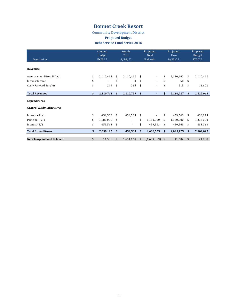### **Bonnet Creek Resort**

**Community Development District**

#### **Proposed Budget**

**Debt Service Fund Series 2016** 

|                             | Adopted<br>Budget |           | Actuals<br>Thru           |           | Projected<br><b>Next</b> |                          | Projected<br>Thru |           | Proposed<br>Budget |           |
|-----------------------------|-------------------|-----------|---------------------------|-----------|--------------------------|--------------------------|-------------------|-----------|--------------------|-----------|
| Description                 | FY2022            |           | 4/30/22                   |           | 5 Months                 |                          | 9/30/22           |           | FY2023             |           |
|                             |                   |           |                           |           |                          |                          |                   |           |                    |           |
| Revenues                    |                   |           |                           |           |                          |                          |                   |           |                    |           |
| Assessments - Direct Billed | \$                | 2,110,462 | \$                        | 2,110,462 | \$                       |                          | \$                | 2,110,462 | \$                 | 2,110,462 |
| Interest Income             | \$                |           | \$                        | 50        | \$                       |                          | \$                | 50        | \$                 |           |
| Carry Forward Surplus       | \$                | 249       | \$                        | 215       | \$                       | $\overline{\phantom{a}}$ | \$                | 215       | \$                 | 11,602    |
| <b>Total Revenues</b>       | \$                | 2,110,711 |                           |           | \$                       |                          | \$                | 2,110,727 | \$                 |           |
|                             |                   |           | \$                        | 2,110,727 |                          |                          |                   |           |                    | 2,122,063 |
| <b>Expenditures</b>         |                   |           |                           |           |                          |                          |                   |           |                    |           |
| General & Administrative:   |                   |           |                           |           |                          |                          |                   |           |                    |           |
| Interest - $11/1$           | \$                | 459,563   | \$                        | 459,563   | \$                       |                          | \$                | 459,563   | \$                 | 433,013   |
| Principal - 5/1             | \$                | 1,180,000 | \$                        | ٠         | \$                       | 1,180,000                | \$                | 1,180,000 | \$                 | 1,235,000 |
| Interest - $5/1$            | \$                | 459,563   | \$                        | ٠         | \$                       | 459,563                  | \$                | 459,563   | \$                 | 433,013   |
| <b>Total Expenditures</b>   | \$                | 2,099,125 | $\boldsymbol{\mathsf{s}}$ | 459,563   | \$                       | 1,639,563                | \$                | 2,099,125 | \$                 | 2,101,025 |
|                             |                   |           |                           |           |                          |                          |                   |           |                    |           |
| Net Change in Fund Balance  | \$                | 11,586    | \$.                       | 1,651,164 | \$                       | (1,639,563)              | \$                | 11,602    | \$                 | 21,038    |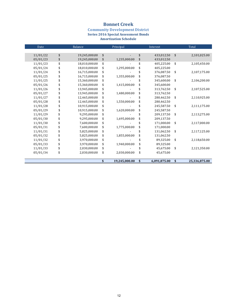### **Bonnet Creek**

#### **Community Development District Series 2016 Special Assessment Bonds Amortization Schedule**

| Date     | <b>Balance</b>      | Principal           | Interest           |    | Total         |
|----------|---------------------|---------------------|--------------------|----|---------------|
|          |                     |                     |                    |    |               |
| 11/01/22 | \$<br>19,245,000.00 | \$                  | \$<br>433,012.50   | \$ | 2,101,025.00  |
| 05/01/23 | \$<br>19,245,000.00 | \$<br>1,235,000.00  | \$<br>433,012.50   |    |               |
| 11/01/23 | \$<br>18,010,000.00 | \$                  | \$<br>405,225.00   | \$ | 2,105,450.00  |
| 05/01/24 | \$<br>18,010,000.00 | \$<br>1,295,000.00  | 405,225.00         |    |               |
| 11/01/24 | \$<br>16,715,000.00 | \$                  | 376,087.50         | \$ | 2,107,175.00  |
| 05/01/25 | \$<br>16,715,000.00 | \$<br>1,355,000.00  | \$<br>376,087.50   |    |               |
| 11/01/25 | \$<br>15,360,000.00 | \$                  | 345,600.00         | \$ | 2,106,200.00  |
| 05/01/26 | \$<br>15,360,000.00 | \$<br>1,415,000.00  | 345,600.00         |    |               |
| 11/01/26 | \$<br>13,945,000.00 | \$                  | 313,762.50         | \$ | 2,107,525.00  |
| 05/01/27 | \$<br>13,945,000.00 | \$<br>1,480,000.00  | 313,762.50         |    |               |
| 11/01/27 | \$<br>12,465,000.00 | \$                  | 280,462.50         | \$ | 2,110,925.00  |
| 05/01/28 | \$<br>12,465,000.00 | \$<br>1,550,000.00  | \$<br>280,462.50   |    |               |
| 11/01/28 | \$<br>10,915,000.00 | \$                  | 245,587.50         | \$ | 2,111,175.00  |
| 05/01/29 | \$<br>10,915,000.00 | \$<br>1,620,000.00  | \$<br>245,587.50   |    |               |
| 11/01/29 | \$<br>9,295,000.00  | \$                  | 209,137.50         | \$ | 2,113,275.00  |
| 05/01/30 | \$<br>9,295,000.00  | \$<br>1,695,000.00  | 209,137.50         |    |               |
| 11/01/30 | \$<br>7,600,000.00  | \$                  | 171,000.00         | \$ | 2,117,000.00  |
| 05/01/31 | \$<br>7,600,000.00  | \$<br>1,775,000.00  | \$<br>171,000.00   |    |               |
| 11/01/31 | \$<br>5,825,000.00  | \$                  | 131,062.50         | \$ | 2,117,125.00  |
| 05/01/32 | \$<br>5,825,000.00  | \$<br>1,855,000.00  | \$<br>131,062.50   |    |               |
| 11/01/32 | \$<br>3,970,000.00  | \$                  | \$<br>89,325.00    | \$ | 2,118,650.00  |
| 05/01/33 | \$<br>3,970,000.00  | \$<br>1,940,000.00  | \$<br>89,325.00    |    |               |
| 11/01/33 | \$<br>2,030,000.00  | \$                  | 45,675.00          | \$ | 2,121,350.00  |
| 05/01/34 | \$<br>2,030,000.00  | \$<br>2,030,000.00  | \$<br>45,675.00    |    |               |
|          |                     |                     |                    |    |               |
|          |                     | \$<br>19,245,000.00 | \$<br>6,091,875.00 | \$ | 25,336,875.00 |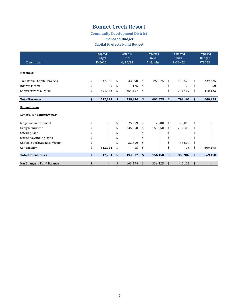### **Bonnet Creek Resort**

#### **Community Development District**

#### **Proposed Budget**

#### **Capital Projects Fund Budget**

| Description                          | Adopted<br><b>Budget</b><br>FY2022 |                | Actuals<br>Thru<br>4/30/22 |         | Projected<br><b>Next</b><br>5 Months |                          | Projected<br>Thru<br>9/30/22 |         | Proposed<br>Budget<br>FY2023 |         |
|--------------------------------------|------------------------------------|----------------|----------------------------|---------|--------------------------------------|--------------------------|------------------------------|---------|------------------------------|---------|
| <b>Revenues</b>                      |                                    |                |                            |         |                                      |                          |                              |         |                              |         |
| Transfer In - Capital Projects       | \$                                 | 237,321        | \$                         | 33,898  | \$                                   | 492,675                  | \$                           | 526,573 | \$                           | 229,325 |
| Interest Income                      | \$                                 | 50             | \$                         | 125     | \$                                   |                          | \$                           | 125     | \$                           | 50      |
| Carry Forward Surplus                | \$                                 | 304,853        | \$                         | 264,407 | \$                                   | $\overline{\phantom{a}}$ | \$                           | 264,407 | \$                           | 440,123 |
| <b>Total Revenues</b>                | \$                                 | 542,224        | \$                         | 298,430 | \$                                   | 492,675                  | \$                           | 791,105 | \$                           | 669,498 |
| <b>Expenditures</b>                  |                                    |                |                            |         |                                      |                          |                              |         |                              |         |
| <b>General &amp; Administrative:</b> |                                    |                |                            |         |                                      |                          |                              |         |                              |         |
| Irrigation Improvement               | \$                                 | $\overline{a}$ | \$                         | 25,559  | \$                                   | 2,500                    | \$                           | 28,059  | \$                           |         |
| Entry Monument                       |                                    |                | \$                         | 135,658 | \$                                   | 153,650                  | \$                           | 289,308 | \$                           |         |
| Stacking Lane                        |                                    |                | \$                         |         | \$                                   |                          | \$                           |         |                              |         |
| Offsite Wayfinding Signs             |                                    |                | \$                         |         | \$                                   |                          | \$                           |         | \$                           |         |
| Chelonia Parkway Resurfacing         | \$                                 |                | \$                         | 33,600  | \$                                   |                          | \$                           | 33,600  | \$                           |         |
| Contingency                          | \$                                 | 542,224        | \$                         | 15      | \$                                   | $\overline{\phantom{a}}$ | \$                           | 15      | \$                           | 669,498 |
| <b>Total Expenditures</b>            | \$                                 | 542,224        | \$                         | 194,832 | \$                                   | 156,150                  | \$                           | 350,982 | \$                           | 669,498 |
| <b>Net Change in Fund Balance</b>    | \$                                 |                | \$                         | 103,598 | \$                                   | 336,525                  | \$                           | 440,123 | \$                           |         |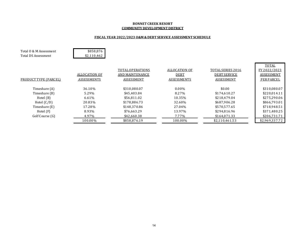#### **BONNET CREEK RESORT COMMUNITY DEVELOPMENT DISTRICT**

#### FISCAL YEAR 2022/2023 O&M & DEBT SERVICE ASSESSMENT SCHEDULE

| Total 0 & M Assessment<br>Total DS Assessment | \$858,876<br>\$2,110,462 |                  |                    |                     |                   |
|-----------------------------------------------|--------------------------|------------------|--------------------|---------------------|-------------------|
|                                               |                          |                  |                    |                     |                   |
|                                               |                          |                  |                    |                     | TOTAL             |
|                                               |                          | TOTAL OPERATIONS | ALLOCATION OF      | TOTAL SERIES 2016   | FY 2022/2023      |
|                                               | ALLOCATION OF            | AND MAINTENANCE  | <b>DEBT</b>        | <b>DEBT SERVICE</b> | <b>ASSESSMENT</b> |
| PRODUCT TYPE (PARCEL)                         | <b>ASSESSMENTS</b>       | ASSESSMENT       | <b>ASSESSMENTS</b> | ASSESSMENT          | <b>PER PARCEL</b> |
| Timeshare (A)                                 | 36.10%                   | \$310,080.07     | $0.00\%$           | \$0.00              | \$310,080.07      |
| Timeshare (B)                                 | 5.29%                    | \$45.403.84      | 8.27%              | \$174,610.27        | \$220,014.11      |
| Hotel $(B)$                                   | 6.61%                    |                  | 10.35%             | \$218,479.04        | \$275,290.06      |
|                                               |                          | \$56,811.02      |                    |                     |                   |
| Hotel $(C/D)$                                 | 20.83%                   | \$178,886.73     | 32.60%             | \$687,906.28        | \$866,793.01      |
| Timeshare (E)                                 | 17.28%                   | \$148,370.86     | 27.04%             | \$570,577.65        | \$718,948.51      |
| Hotel $(F)$                                   | 8.93%                    | \$76,663.29      | 13.97%             | \$294,816.96        | \$371,480.25      |
| Golf Course (G)                               | 4.97%                    | \$42,660.38      | 7.77%              | \$164,071.33        | \$206,731.71      |
|                                               | 100.00%                  | \$858,876.19     | 100.00%            | \$2,110,461.53      | \$2,969,337.72    |